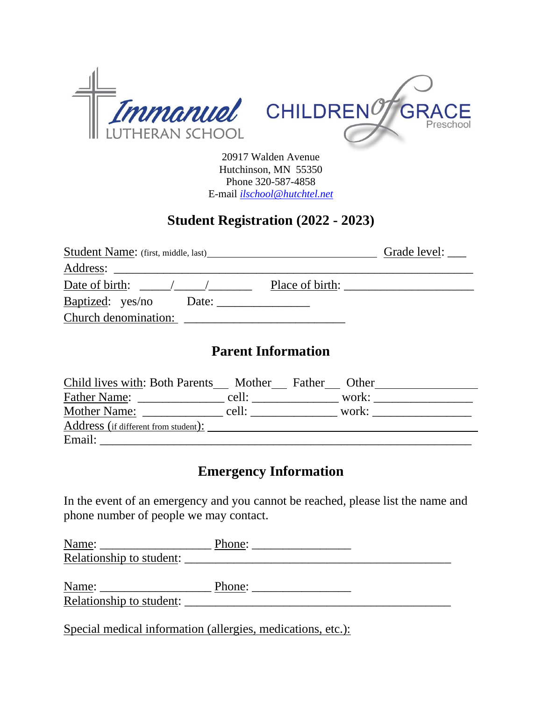

20917 Walden Avenue Hutchinson, MN 55350 Phone 320-587-4858 E-mail *[ilschool@hutchtel.net](mailto:ilschool@hutchtel.net)*

#### **Student Registration (2022 - 2023)**

| <b>Student Name:</b> (first, middle, last) |                 | Grade level: |
|--------------------------------------------|-----------------|--------------|
| Address:                                   |                 |              |
| Date of birth:                             | Place of birth: |              |
| Baptized: yes/no<br>Date:                  |                 |              |
| Church denomination:                       |                 |              |

## **Parent Information**

| Child lives with: Both Parents Mother Father Other |       |       |  |
|----------------------------------------------------|-------|-------|--|
| <b>Father Name:</b>                                | cell: | work: |  |
| <b>Mother Name:</b>                                | cell: | work: |  |
| Address (if different from student):               |       |       |  |
| Email:                                             |       |       |  |

#### **Emergency Information**

In the event of an emergency and you cannot be reached, please list the name and phone number of people we may contact.

| Name:                    | Phone: |  |
|--------------------------|--------|--|
| Relationship to student: |        |  |
|                          |        |  |
| Name:                    | Phone: |  |
| Relationship to student: |        |  |

Special medical information (allergies, medications, etc.):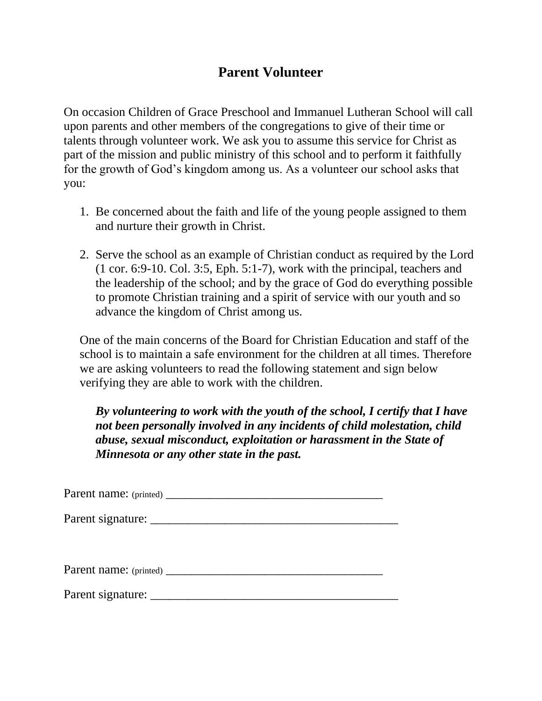# **Parent Volunteer**

On occasion Children of Grace Preschool and Immanuel Lutheran School will call upon parents and other members of the congregations to give of their time or talents through volunteer work. We ask you to assume this service for Christ as part of the mission and public ministry of this school and to perform it faithfully for the growth of God's kingdom among us. As a volunteer our school asks that you:

- 1. Be concerned about the faith and life of the young people assigned to them and nurture their growth in Christ.
- 2. Serve the school as an example of Christian conduct as required by the Lord (1 cor. 6:9-10. Col. 3:5, Eph. 5:1-7), work with the principal, teachers and the leadership of the school; and by the grace of God do everything possible to promote Christian training and a spirit of service with our youth and so advance the kingdom of Christ among us.

One of the main concerns of the Board for Christian Education and staff of the school is to maintain a safe environment for the children at all times. Therefore we are asking volunteers to read the following statement and sign below verifying they are able to work with the children.

*By volunteering to work with the youth of the school, I certify that I have not been personally involved in any incidents of child molestation, child abuse, sexual misconduct, exploitation or harassment in the State of Minnesota or any other state in the past.*

Parent name: (printed) \_\_\_\_\_\_\_\_\_\_\_\_\_\_\_\_\_\_\_\_\_\_\_\_\_\_\_\_\_\_\_\_\_\_\_

Parent signature: \_\_\_\_\_\_\_\_\_\_\_\_\_\_\_\_\_\_\_\_\_\_\_\_\_\_\_\_\_\_\_\_\_\_\_\_\_\_\_\_

Parent name: (printed) \_\_\_\_\_\_\_\_\_\_\_\_\_\_\_\_\_\_\_\_\_\_\_\_\_\_\_\_\_\_\_\_\_\_\_

Parent signature: \_\_\_\_\_\_\_\_\_\_\_\_\_\_\_\_\_\_\_\_\_\_\_\_\_\_\_\_\_\_\_\_\_\_\_\_\_\_\_\_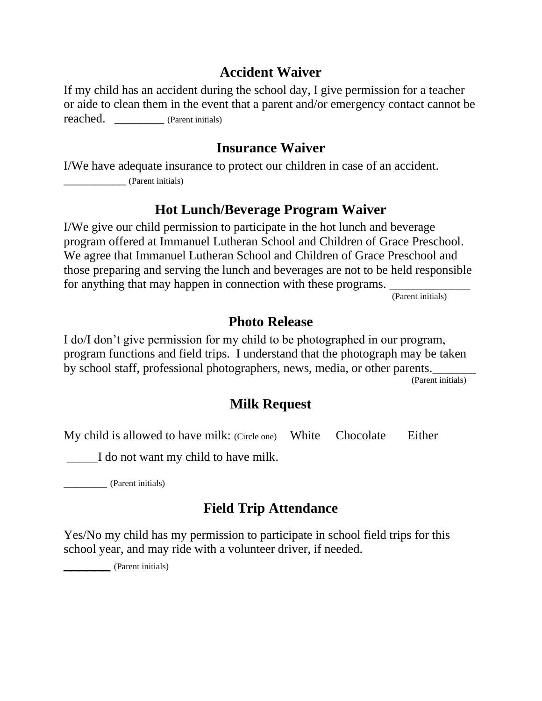## **Accident Waiver**

If my child has an accident during the school day, I give permission for a teacher or aide to clean them in the event that a parent and/or emergency contact cannot be reached. \_\_\_\_\_\_\_\_ (Parent initials)

## **Insurance Waiver**

I/We have adequate insurance to protect our children in case of an accident. \_\_\_\_\_\_\_\_\_\_ (Parent initials)

## **Hot Lunch/Beverage Program Waiver**

I/We give our child permission to participate in the hot lunch and beverage program offered at Immanuel Lutheran School and Children of Grace Preschool. We agree that Immanuel Lutheran School and Children of Grace Preschool and those preparing and serving the lunch and beverages are not to be held responsible for anything that may happen in connection with these programs.  $\overline{P}$  (Parent initials)

# **Photo Release**

I do/I don't give permission for my child to be photographed in our program, program functions and field trips. I understand that the photograph may be taken by school staff, professional photographers, news, media, or other parents.

(Parent initials)

## **Milk Request**

My child is allowed to have milk: (Circle one) White Chocolate Either

\_\_\_\_\_I do not want my child to have milk.

\_\_\_\_\_\_\_ (Parent initials)

# **Field Trip Attendance**

Yes/No my child has my permission to participate in school field trips for this school year, and may ride with a volunteer driver, if needed.

\_\_\_\_\_\_ (Parent initials)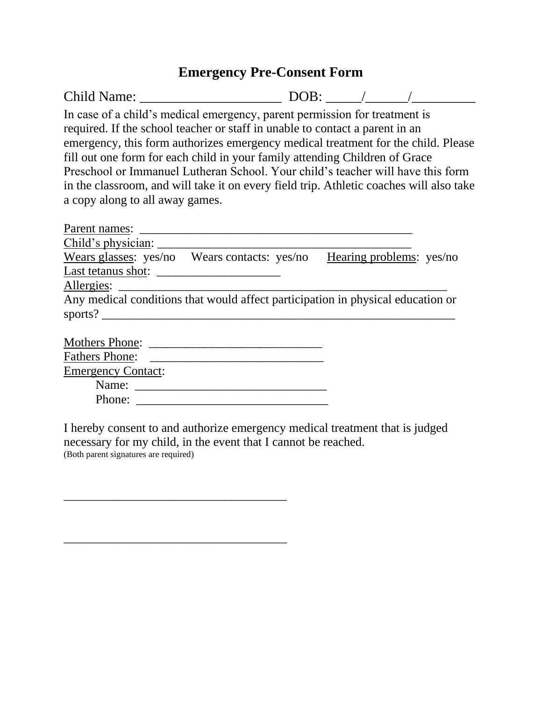#### **Emergency Pre-Consent Form**

Child Name: \_\_\_\_\_\_\_\_\_\_\_\_\_\_\_\_\_\_\_\_ DOB: \_\_\_\_\_/\_\_\_\_\_\_/\_\_\_\_\_\_\_\_\_ In case of a child's medical emergency, parent permission for treatment is required. If the school teacher or staff in unable to contact a parent in an emergency, this form authorizes emergency medical treatment for the child. Please fill out one form for each child in your family attending Children of Grace Preschool or Immanuel Lutheran School. Your child's teacher will have this form in the classroom, and will take it on every field trip. Athletic coaches will also take a copy along to all away games.

| Parent names:             |                                                                                 |  |
|---------------------------|---------------------------------------------------------------------------------|--|
| Child's physician:        |                                                                                 |  |
|                           | Wears glasses: yes/no Wears contacts: yes/no Hearing problems: yes/no           |  |
| Last tetanus shot:        |                                                                                 |  |
| Allergies:                |                                                                                 |  |
|                           | Any medical conditions that would affect participation in physical education or |  |
| sports? $\qquad \qquad$   |                                                                                 |  |
|                           |                                                                                 |  |
| <b>Mothers Phone:</b>     |                                                                                 |  |
| <b>Fathers Phone:</b>     |                                                                                 |  |
| <b>Emergency Contact:</b> |                                                                                 |  |
| Name:                     |                                                                                 |  |
| Phone:                    |                                                                                 |  |
|                           |                                                                                 |  |

I hereby consent to and authorize emergency medical treatment that is judged necessary for my child, in the event that I cannot be reached. (Both parent signatures are required)

\_\_\_\_\_\_\_\_\_\_\_\_\_\_\_\_\_\_\_\_\_\_\_\_\_\_\_\_\_\_\_\_\_\_\_\_

\_\_\_\_\_\_\_\_\_\_\_\_\_\_\_\_\_\_\_\_\_\_\_\_\_\_\_\_\_\_\_\_\_\_\_\_